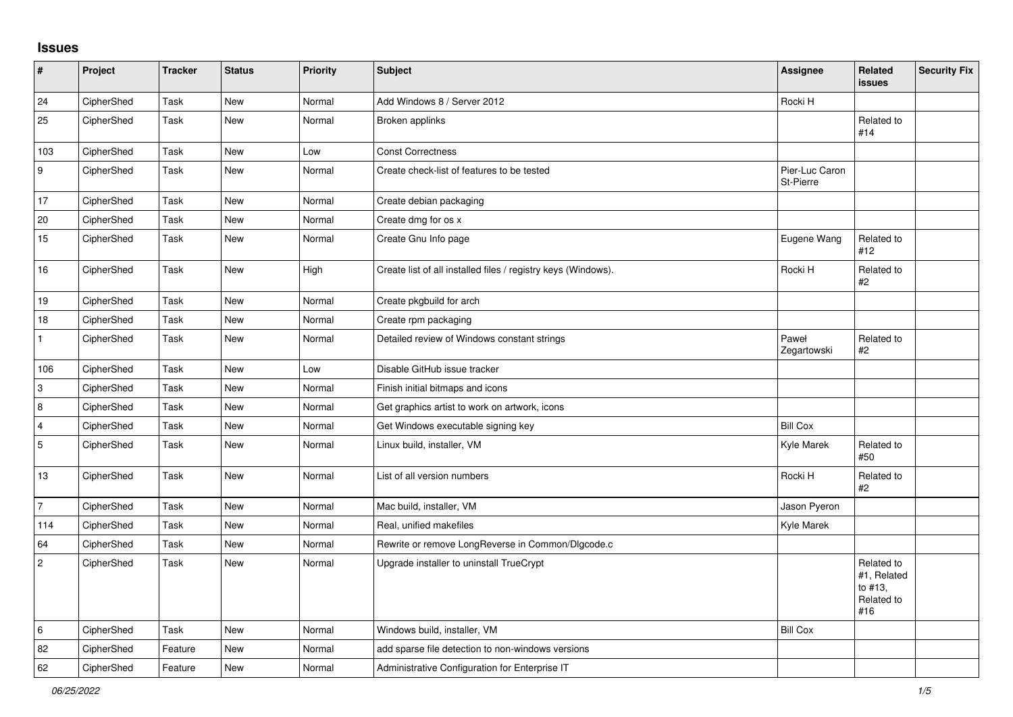## **Issues**

| $\vert$ #        | Project    | <b>Tracker</b> | <b>Status</b> | Priority | <b>Subject</b>                                                | Assignee                    | Related<br>issues                                         | <b>Security Fix</b> |
|------------------|------------|----------------|---------------|----------|---------------------------------------------------------------|-----------------------------|-----------------------------------------------------------|---------------------|
| 24               | CipherShed | Task           | <b>New</b>    | Normal   | Add Windows 8 / Server 2012                                   | Rocki H                     |                                                           |                     |
| 25               | CipherShed | Task           | New           | Normal   | Broken applinks                                               |                             | Related to<br>#14                                         |                     |
| 103              | CipherShed | Task           | New           | Low      | <b>Const Correctness</b>                                      |                             |                                                           |                     |
| $\boldsymbol{9}$ | CipherShed | Task           | New           | Normal   | Create check-list of features to be tested                    | Pier-Luc Caron<br>St-Pierre |                                                           |                     |
| 17               | CipherShed | Task           | New           | Normal   | Create debian packaging                                       |                             |                                                           |                     |
| 20               | CipherShed | Task           | New           | Normal   | Create dmg for os x                                           |                             |                                                           |                     |
| 15               | CipherShed | Task           | New           | Normal   | Create Gnu Info page                                          | Eugene Wang                 | Related to<br>#12                                         |                     |
| 16               | CipherShed | Task           | New           | High     | Create list of all installed files / registry keys (Windows). | Rocki H                     | Related to<br>#2                                          |                     |
| 19               | CipherShed | Task           | New           | Normal   | Create pkgbuild for arch                                      |                             |                                                           |                     |
| $18$             | CipherShed | Task           | New           | Normal   | Create rpm packaging                                          |                             |                                                           |                     |
| $\mathbf{1}$     | CipherShed | Task           | New           | Normal   | Detailed review of Windows constant strings                   | Paweł<br>Zegartowski        | Related to<br>#2                                          |                     |
| 106              | CipherShed | Task           | New           | Low      | Disable GitHub issue tracker                                  |                             |                                                           |                     |
| 3                | CipherShed | Task           | <b>New</b>    | Normal   | Finish initial bitmaps and icons                              |                             |                                                           |                     |
| 8                | CipherShed | Task           | New           | Normal   | Get graphics artist to work on artwork, icons                 |                             |                                                           |                     |
| $\overline{4}$   | CipherShed | Task           | New           | Normal   | Get Windows executable signing key                            | <b>Bill Cox</b>             |                                                           |                     |
| $\sqrt{5}$       | CipherShed | Task           | New           | Normal   | Linux build, installer, VM                                    | Kyle Marek                  | Related to<br>#50                                         |                     |
| $13$             | CipherShed | Task           | New           | Normal   | List of all version numbers                                   | Rocki H                     | Related to<br>#2                                          |                     |
| $\overline{7}$   | CipherShed | Task           | New           | Normal   | Mac build, installer, VM                                      | Jason Pyeron                |                                                           |                     |
| 114              | CipherShed | Task           | <b>New</b>    | Normal   | Real, unified makefiles                                       | Kyle Marek                  |                                                           |                     |
| 64               | CipherShed | Task           | <b>New</b>    | Normal   | Rewrite or remove LongReverse in Common/Dlgcode.c             |                             |                                                           |                     |
| $\overline{2}$   | CipherShed | Task           | New           | Normal   | Upgrade installer to uninstall TrueCrypt                      |                             | Related to<br>#1, Related<br>to #13,<br>Related to<br>#16 |                     |
| 6                | CipherShed | Task           | New           | Normal   | Windows build, installer, VM                                  | <b>Bill Cox</b>             |                                                           |                     |
| 82               | CipherShed | Feature        | <b>New</b>    | Normal   | add sparse file detection to non-windows versions             |                             |                                                           |                     |
| 62               | CipherShed | Feature        | New           | Normal   | Administrative Configuration for Enterprise IT                |                             |                                                           |                     |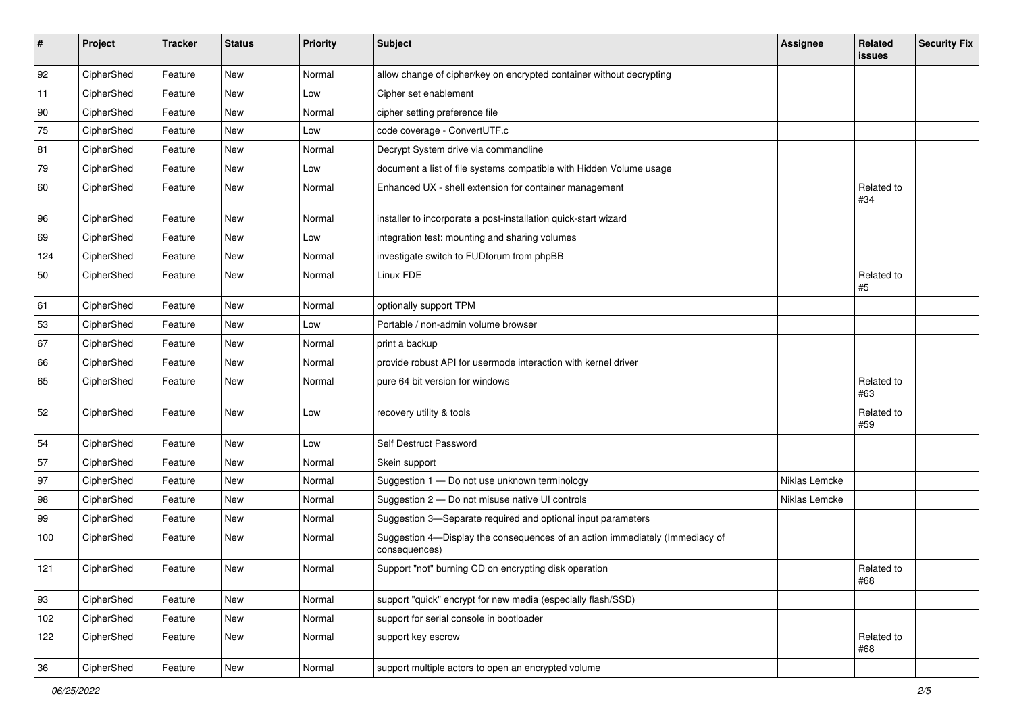| #   | Project    | <b>Tracker</b> | <b>Status</b> | Priority | <b>Subject</b>                                                                                | <b>Assignee</b> | Related<br><b>issues</b> | <b>Security Fix</b> |
|-----|------------|----------------|---------------|----------|-----------------------------------------------------------------------------------------------|-----------------|--------------------------|---------------------|
| 92  | CipherShed | Feature        | New           | Normal   | allow change of cipher/key on encrypted container without decrypting                          |                 |                          |                     |
| 11  | CipherShed | Feature        | New           | Low      | Cipher set enablement                                                                         |                 |                          |                     |
| 90  | CipherShed | Feature        | New           | Normal   | cipher setting preference file                                                                |                 |                          |                     |
| 75  | CipherShed | Feature        | New           | Low      | code coverage - ConvertUTF.c                                                                  |                 |                          |                     |
| 81  | CipherShed | Feature        | New           | Normal   | Decrypt System drive via commandline                                                          |                 |                          |                     |
| 79  | CipherShed | Feature        | New           | Low      | document a list of file systems compatible with Hidden Volume usage                           |                 |                          |                     |
| 60  | CipherShed | Feature        | New           | Normal   | Enhanced UX - shell extension for container management                                        |                 | Related to<br>#34        |                     |
| 96  | CipherShed | Feature        | New           | Normal   | installer to incorporate a post-installation quick-start wizard                               |                 |                          |                     |
| 69  | CipherShed | Feature        | New           | Low      | integration test: mounting and sharing volumes                                                |                 |                          |                     |
| 124 | CipherShed | Feature        | New           | Normal   | investigate switch to FUDforum from phpBB                                                     |                 |                          |                     |
| 50  | CipherShed | Feature        | New           | Normal   | Linux FDE                                                                                     |                 | Related to<br>#5         |                     |
| 61  | CipherShed | Feature        | New           | Normal   | optionally support TPM                                                                        |                 |                          |                     |
| 53  | CipherShed | Feature        | New           | Low      | Portable / non-admin volume browser                                                           |                 |                          |                     |
| 67  | CipherShed | Feature        | New           | Normal   | print a backup                                                                                |                 |                          |                     |
| 66  | CipherShed | Feature        | New           | Normal   | provide robust API for usermode interaction with kernel driver                                |                 |                          |                     |
| 65  | CipherShed | Feature        | New           | Normal   | pure 64 bit version for windows                                                               |                 | Related to<br>#63        |                     |
| 52  | CipherShed | Feature        | New           | Low      | recovery utility & tools                                                                      |                 | Related to<br>#59        |                     |
| 54  | CipherShed | Feature        | <b>New</b>    | Low      | Self Destruct Password                                                                        |                 |                          |                     |
| 57  | CipherShed | Feature        | New           | Normal   | Skein support                                                                                 |                 |                          |                     |
| 97  | CipherShed | Feature        | New           | Normal   | Suggestion 1 - Do not use unknown terminology                                                 | Niklas Lemcke   |                          |                     |
| 98  | CipherShed | Feature        | New           | Normal   | Suggestion 2 - Do not misuse native UI controls                                               | Niklas Lemcke   |                          |                     |
| 99  | CipherShed | Feature        | New           | Normal   | Suggestion 3-Separate required and optional input parameters                                  |                 |                          |                     |
| 100 | CipherShed | Feature        | New           | Normal   | Suggestion 4-Display the consequences of an action immediately (Immediacy of<br>consequences) |                 |                          |                     |
| 121 | CipherShed | Feature        | New           | Normal   | Support "not" burning CD on encrypting disk operation                                         |                 | Related to<br>#68        |                     |
| 93  | CipherShed | Feature        | New           | Normal   | support "quick" encrypt for new media (especially flash/SSD)                                  |                 |                          |                     |
| 102 | CipherShed | Feature        | New           | Normal   | support for serial console in bootloader                                                      |                 |                          |                     |
| 122 | CipherShed | Feature        | New           | Normal   | support key escrow                                                                            |                 | Related to<br>#68        |                     |
| 36  | CipherShed | Feature        | New           | Normal   | support multiple actors to open an encrypted volume                                           |                 |                          |                     |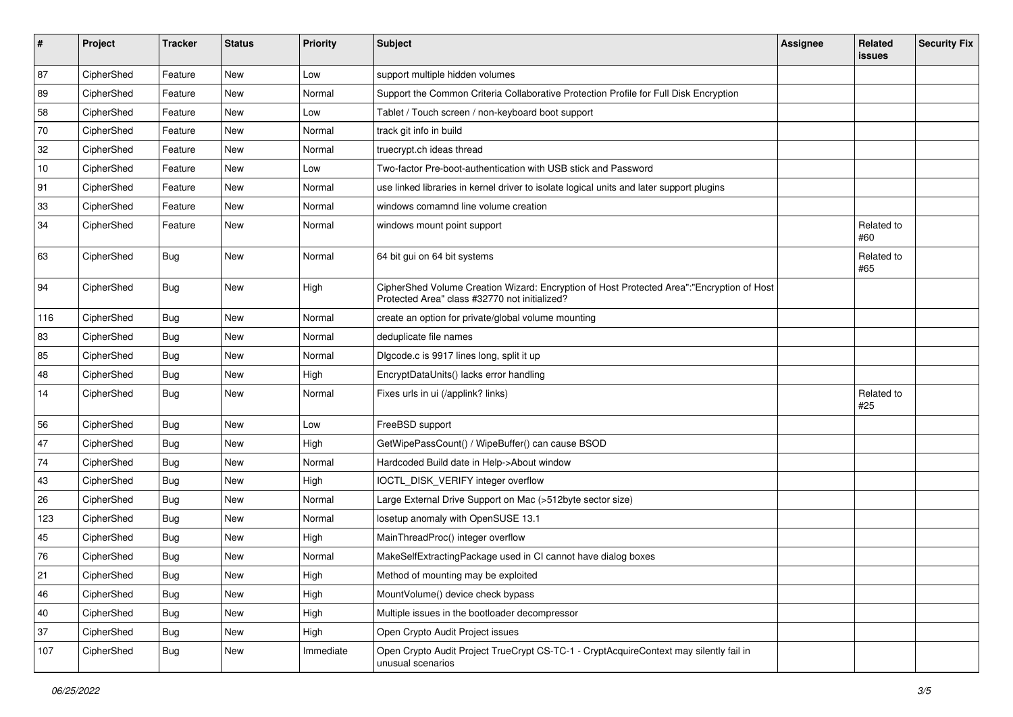| #    | Project    | <b>Tracker</b> | <b>Status</b> | <b>Priority</b> | <b>Subject</b>                                                                                                                             | <b>Assignee</b> | Related<br>issues | <b>Security Fix</b> |
|------|------------|----------------|---------------|-----------------|--------------------------------------------------------------------------------------------------------------------------------------------|-----------------|-------------------|---------------------|
| 87   | CipherShed | Feature        | New           | Low             | support multiple hidden volumes                                                                                                            |                 |                   |                     |
| 89   | CipherShed | Feature        | New           | Normal          | Support the Common Criteria Collaborative Protection Profile for Full Disk Encryption                                                      |                 |                   |                     |
| 58   | CipherShed | Feature        | New           | Low             | Tablet / Touch screen / non-keyboard boot support                                                                                          |                 |                   |                     |
| 70   | CipherShed | Feature        | New           | Normal          | track git info in build                                                                                                                    |                 |                   |                     |
| 32   | CipherShed | Feature        | New           | Normal          | truecrypt.ch ideas thread                                                                                                                  |                 |                   |                     |
| $10$ | CipherShed | Feature        | New           | Low             | Two-factor Pre-boot-authentication with USB stick and Password                                                                             |                 |                   |                     |
| 91   | CipherShed | Feature        | New           | Normal          | use linked libraries in kernel driver to isolate logical units and later support plugins                                                   |                 |                   |                     |
| 33   | CipherShed | Feature        | New           | Normal          | windows comamnd line volume creation                                                                                                       |                 |                   |                     |
| 34   | CipherShed | Feature        | New           | Normal          | windows mount point support                                                                                                                |                 | Related to<br>#60 |                     |
| 63   | CipherShed | <b>Bug</b>     | New           | Normal          | 64 bit gui on 64 bit systems                                                                                                               |                 | Related to<br>#65 |                     |
| 94   | CipherShed | <b>Bug</b>     | New           | High            | CipherShed Volume Creation Wizard: Encryption of Host Protected Area":"Encryption of Host<br>Protected Area" class #32770 not initialized? |                 |                   |                     |
| 116  | CipherShed | <b>Bug</b>     | New           | Normal          | create an option for private/global volume mounting                                                                                        |                 |                   |                     |
| 83   | CipherShed | <b>Bug</b>     | New           | Normal          | deduplicate file names                                                                                                                     |                 |                   |                     |
| 85   | CipherShed | <b>Bug</b>     | New           | Normal          | Digcode.c is 9917 lines long, split it up                                                                                                  |                 |                   |                     |
| 48   | CipherShed | <b>Bug</b>     | New           | High            | EncryptDataUnits() lacks error handling                                                                                                    |                 |                   |                     |
| 14   | CipherShed | Bug            | New           | Normal          | Fixes urls in ui (/applink? links)                                                                                                         |                 | Related to<br>#25 |                     |
| 56   | CipherShed | <b>Bug</b>     | New           | Low             | FreeBSD support                                                                                                                            |                 |                   |                     |
| 47   | CipherShed | <b>Bug</b>     | New           | High            | GetWipePassCount() / WipeBuffer() can cause BSOD                                                                                           |                 |                   |                     |
| 74   | CipherShed | <b>Bug</b>     | New           | Normal          | Hardcoded Build date in Help->About window                                                                                                 |                 |                   |                     |
| 43   | CipherShed | <b>Bug</b>     | New           | High            | IOCTL_DISK_VERIFY integer overflow                                                                                                         |                 |                   |                     |
| 26   | CipherShed | <b>Bug</b>     | New           | Normal          | Large External Drive Support on Mac (>512byte sector size)                                                                                 |                 |                   |                     |
| 123  | CipherShed | <b>Bug</b>     | New           | Normal          | losetup anomaly with OpenSUSE 13.1                                                                                                         |                 |                   |                     |
| 45   | CipherShed | <b>Bug</b>     | New           | High            | MainThreadProc() integer overflow                                                                                                          |                 |                   |                     |
| 76   | CipherShed | <b>Bug</b>     | New           | Normal          | MakeSelfExtractingPackage used in CI cannot have dialog boxes                                                                              |                 |                   |                     |
| 21   | CipherShed | <b>Bug</b>     | New           | High            | Method of mounting may be exploited                                                                                                        |                 |                   |                     |
| 46   | CipherShed | <b>Bug</b>     | New           | High            | MountVolume() device check bypass                                                                                                          |                 |                   |                     |
| 40   | CipherShed | <b>Bug</b>     | New           | High            | Multiple issues in the bootloader decompressor                                                                                             |                 |                   |                     |
| 37   | CipherShed | <b>Bug</b>     | New           | High            | Open Crypto Audit Project issues                                                                                                           |                 |                   |                     |
| 107  | CipherShed | Bug            | New           | Immediate       | Open Crypto Audit Project TrueCrypt CS-TC-1 - CryptAcquireContext may silently fail in<br>unusual scenarios                                |                 |                   |                     |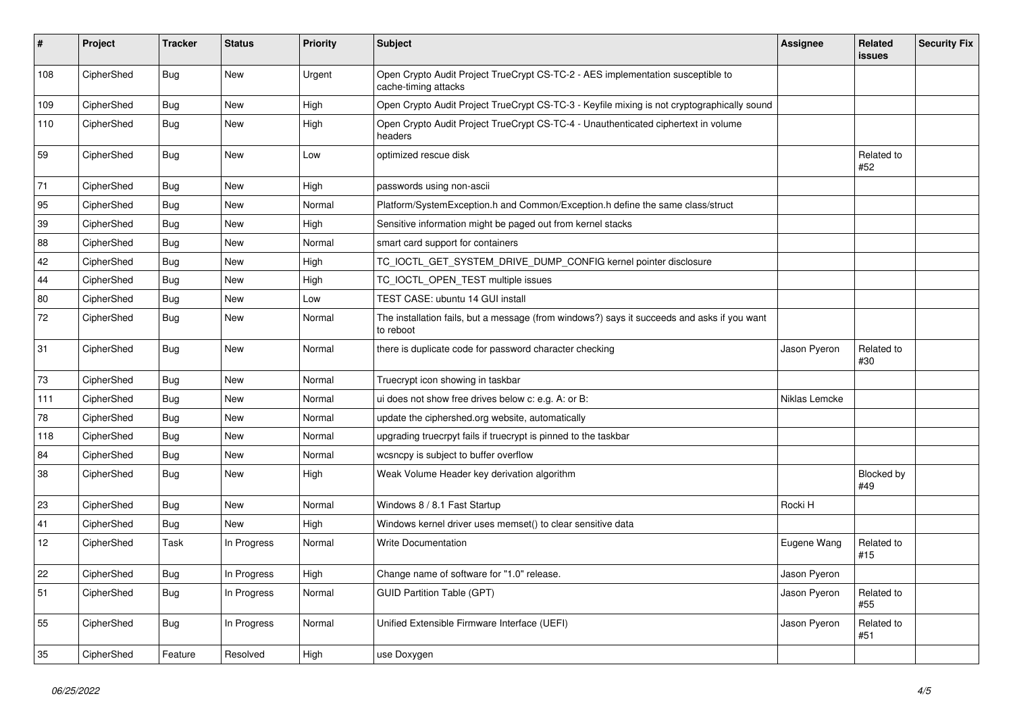| $\vert$ # | Project    | <b>Tracker</b> | <b>Status</b> | <b>Priority</b> | <b>Subject</b>                                                                                           | Assignee      | <b>Related</b><br><b>issues</b> | <b>Security Fix</b> |
|-----------|------------|----------------|---------------|-----------------|----------------------------------------------------------------------------------------------------------|---------------|---------------------------------|---------------------|
| 108       | CipherShed | Bug            | New           | Urgent          | Open Crypto Audit Project TrueCrypt CS-TC-2 - AES implementation susceptible to<br>cache-timing attacks  |               |                                 |                     |
| 109       | CipherShed | <b>Bug</b>     | New           | High            | Open Crypto Audit Project TrueCrypt CS-TC-3 - Keyfile mixing is not cryptographically sound              |               |                                 |                     |
| 110       | CipherShed | Bug            | New           | High            | Open Crypto Audit Project TrueCrypt CS-TC-4 - Unauthenticated ciphertext in volume<br>headers            |               |                                 |                     |
| 59        | CipherShed | <b>Bug</b>     | New           | Low             | optimized rescue disk                                                                                    |               | Related to<br>#52               |                     |
| 71        | CipherShed | <b>Bug</b>     | <b>New</b>    | High            | passwords using non-ascii                                                                                |               |                                 |                     |
| 95        | CipherShed | Bug            | New           | Normal          | Platform/SystemException.h and Common/Exception.h define the same class/struct                           |               |                                 |                     |
| 39        | CipherShed | <b>Bug</b>     | New           | High            | Sensitive information might be paged out from kernel stacks                                              |               |                                 |                     |
| 88        | CipherShed | Bug            | New           | Normal          | smart card support for containers                                                                        |               |                                 |                     |
| 42        | CipherShed | <b>Bug</b>     | New           | High            | TC_IOCTL_GET_SYSTEM_DRIVE_DUMP_CONFIG kernel pointer disclosure                                          |               |                                 |                     |
| 44        | CipherShed | <b>Bug</b>     | New           | High            | TC_IOCTL_OPEN_TEST multiple issues                                                                       |               |                                 |                     |
| 80        | CipherShed | <b>Bug</b>     | New           | Low             | TEST CASE: ubuntu 14 GUI install                                                                         |               |                                 |                     |
| 72        | CipherShed | Bug            | New           | Normal          | The installation fails, but a message (from windows?) says it succeeds and asks if you want<br>to reboot |               |                                 |                     |
| 31        | CipherShed | <b>Bug</b>     | New           | Normal          | there is duplicate code for password character checking                                                  | Jason Pyeron  | Related to<br>#30               |                     |
| 73        | CipherShed | Bug            | <b>New</b>    | Normal          | Truecrypt icon showing in taskbar                                                                        |               |                                 |                     |
| 111       | CipherShed | Bug            | <b>New</b>    | Normal          | ui does not show free drives below c: e.g. A: or B:                                                      | Niklas Lemcke |                                 |                     |
| 78        | CipherShed | <b>Bug</b>     | <b>New</b>    | Normal          | update the ciphershed.org website, automatically                                                         |               |                                 |                     |
| 118       | CipherShed | <b>Bug</b>     | <b>New</b>    | Normal          | upgrading truecrpyt fails if truecrypt is pinned to the taskbar                                          |               |                                 |                     |
| 84        | CipherShed | <b>Bug</b>     | <b>New</b>    | Normal          | wcsncpy is subject to buffer overflow                                                                    |               |                                 |                     |
| 38        | CipherShed | <b>Bug</b>     | New           | High            | Weak Volume Header key derivation algorithm                                                              |               | Blocked by<br>#49               |                     |
| 23        | CipherShed | <b>Bug</b>     | New           | Normal          | Windows 8 / 8.1 Fast Startup                                                                             | Rocki H       |                                 |                     |
| 41        | CipherShed | <b>Bug</b>     | New           | High            | Windows kernel driver uses memset() to clear sensitive data                                              |               |                                 |                     |
| 12        | CipherShed | Task           | In Progress   | Normal          | <b>Write Documentation</b>                                                                               | Eugene Wang   | Related to<br>#15               |                     |
| 22        | CipherShed | Bug            | In Progress   | High            | Change name of software for "1.0" release.                                                               | Jason Pyeron  |                                 |                     |
| 51        | CipherShed | Bug            | In Progress   | Normal          | <b>GUID Partition Table (GPT)</b>                                                                        | Jason Pyeron  | Related to<br>#55               |                     |
| 55        | CipherShed | <b>Bug</b>     | In Progress   | Normal          | Unified Extensible Firmware Interface (UEFI)                                                             | Jason Pyeron  | Related to<br>#51               |                     |
| 35        | CipherShed | Feature        | Resolved      | High            | use Doxygen                                                                                              |               |                                 |                     |